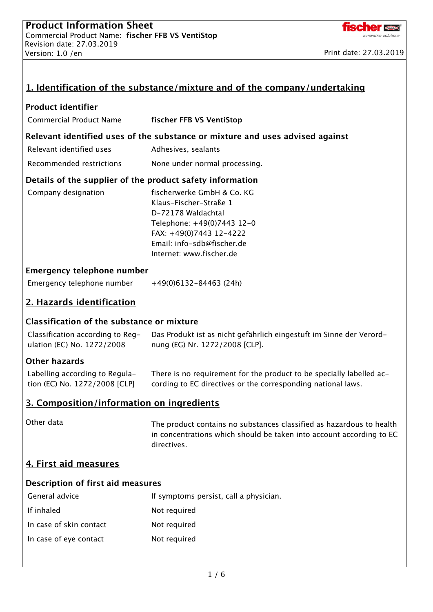

|                                                                 | 1. Identification of the substance/mixture and of the company/undertaking                                                                                                                     |  |  |  |  |  |
|-----------------------------------------------------------------|-----------------------------------------------------------------------------------------------------------------------------------------------------------------------------------------------|--|--|--|--|--|
| <b>Product identifier</b>                                       |                                                                                                                                                                                               |  |  |  |  |  |
| <b>Commercial Product Name</b>                                  | fischer FFB VS VentiStop                                                                                                                                                                      |  |  |  |  |  |
|                                                                 | Relevant identified uses of the substance or mixture and uses advised against                                                                                                                 |  |  |  |  |  |
| Relevant identified uses                                        | Adhesives, sealants                                                                                                                                                                           |  |  |  |  |  |
| Recommended restrictions                                        | None under normal processing.                                                                                                                                                                 |  |  |  |  |  |
| Details of the supplier of the product safety information       |                                                                                                                                                                                               |  |  |  |  |  |
| Company designation                                             | fischerwerke GmbH & Co. KG<br>Klaus-Fischer-Straße 1<br>D-72178 Waldachtal<br>Telephone: +49(0)7443 12-0<br>FAX: +49(0)7443 12-4222<br>Email: info-sdb@fischer.de<br>Internet: www.fischer.de |  |  |  |  |  |
| <b>Emergency telephone number</b>                               |                                                                                                                                                                                               |  |  |  |  |  |
| Emergency telephone number                                      | $+49(0)6132-84463(24h)$                                                                                                                                                                       |  |  |  |  |  |
| 2. Hazards identification                                       |                                                                                                                                                                                               |  |  |  |  |  |
| <b>Classification of the substance or mixture</b>               |                                                                                                                                                                                               |  |  |  |  |  |
| Classification according to Reg-<br>ulation (EC) No. 1272/2008  | Das Produkt ist as nicht gefährlich eingestuft im Sinne der Verord-<br>nung (EG) Nr. 1272/2008 [CLP].                                                                                         |  |  |  |  |  |
| <b>Other hazards</b>                                            |                                                                                                                                                                                               |  |  |  |  |  |
| Labelling according to Regula-<br>tion (EC) No. 1272/2008 [CLP] | There is no requirement for the product to be specially labelled ac-<br>cording to EC directives or the corresponding national laws.                                                          |  |  |  |  |  |
| 3. Composition/information on ingredients                       |                                                                                                                                                                                               |  |  |  |  |  |
| Other data                                                      | The product contains no substances classified as hazardous to health<br>in concentrations which should be taken into account according to EC<br>directives.                                   |  |  |  |  |  |
| 4. First aid measures                                           |                                                                                                                                                                                               |  |  |  |  |  |
| Description of first aid measures                               |                                                                                                                                                                                               |  |  |  |  |  |
| General advice                                                  | If symptoms persist, call a physician.                                                                                                                                                        |  |  |  |  |  |
| If inhaled                                                      | Not required                                                                                                                                                                                  |  |  |  |  |  |
| In case of skin contact                                         | Not required                                                                                                                                                                                  |  |  |  |  |  |
| In case of eye contact                                          | Not required                                                                                                                                                                                  |  |  |  |  |  |
|                                                                 |                                                                                                                                                                                               |  |  |  |  |  |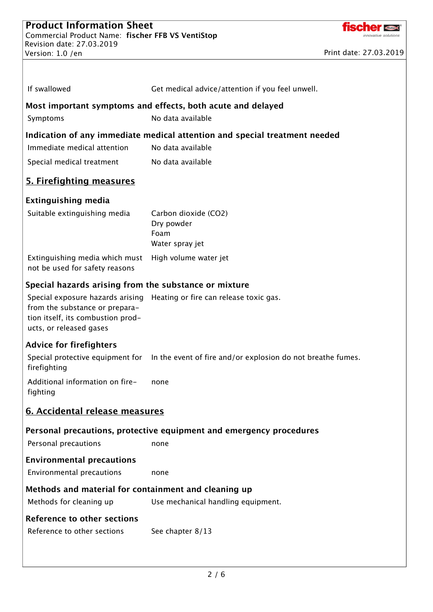If swallowed Get medical advice/attention if you feel unwell.



|                                                                                                | Most important symptoms and effects, both acute and delayed                                  |  |  |  |  |
|------------------------------------------------------------------------------------------------|----------------------------------------------------------------------------------------------|--|--|--|--|
| Symptoms                                                                                       | No data available                                                                            |  |  |  |  |
| Indication of any immediate medical attention and special treatment needed                     |                                                                                              |  |  |  |  |
| Immediate medical attention                                                                    | No data available                                                                            |  |  |  |  |
| Special medical treatment                                                                      | No data available                                                                            |  |  |  |  |
| 5. Firefighting measures                                                                       |                                                                                              |  |  |  |  |
| <b>Extinguishing media</b>                                                                     |                                                                                              |  |  |  |  |
| Suitable extinguishing media                                                                   | Carbon dioxide (CO2)<br>Dry powder<br>Foam<br>Water spray jet                                |  |  |  |  |
| Extinguishing media which must<br>not be used for safety reasons                               | High volume water jet                                                                        |  |  |  |  |
| Special hazards arising from the substance or mixture                                          |                                                                                              |  |  |  |  |
| from the substance or prepara-<br>tion itself, its combustion prod-<br>ucts, or released gases | Special exposure hazards arising Heating or fire can release toxic gas.                      |  |  |  |  |
| <b>Advice for firefighters</b>                                                                 |                                                                                              |  |  |  |  |
| firefighting                                                                                   | Special protective equipment for In the event of fire and/or explosion do not breathe fumes. |  |  |  |  |
| Additional information on fire-<br>fighting                                                    | none                                                                                         |  |  |  |  |
| 6. Accidental release measures                                                                 |                                                                                              |  |  |  |  |
|                                                                                                | Personal precautions, protective equipment and emergency procedures                          |  |  |  |  |
| Personal precautions                                                                           | none                                                                                         |  |  |  |  |
| <b>Environmental precautions</b><br>Environmental precautions                                  | none                                                                                         |  |  |  |  |
| Methods and material for containment and cleaning up                                           |                                                                                              |  |  |  |  |
| Methods for cleaning up                                                                        | Use mechanical handling equipment.                                                           |  |  |  |  |
| <b>Reference to other sections</b>                                                             |                                                                                              |  |  |  |  |
| Reference to other sections                                                                    | See chapter 8/13                                                                             |  |  |  |  |
|                                                                                                |                                                                                              |  |  |  |  |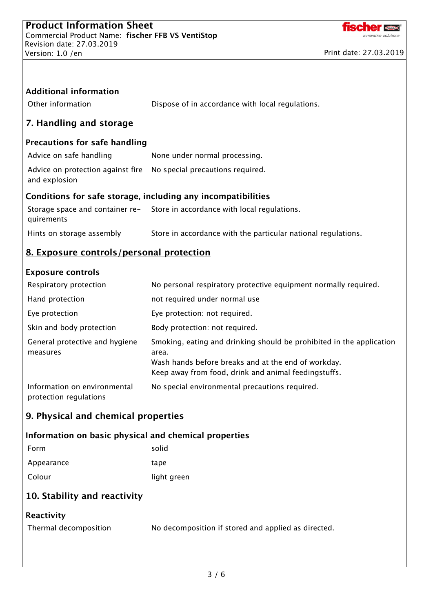

| <b>Additional information</b><br>Other information           | Dispose of in accordance with local regulations.                                                                                                                                             |  |  |  |  |
|--------------------------------------------------------------|----------------------------------------------------------------------------------------------------------------------------------------------------------------------------------------------|--|--|--|--|
| <u>7. Handling and storage</u>                               |                                                                                                                                                                                              |  |  |  |  |
| <b>Precautions for safe handling</b>                         |                                                                                                                                                                                              |  |  |  |  |
| Advice on safe handling                                      | None under normal processing.                                                                                                                                                                |  |  |  |  |
| Advice on protection against fire<br>and explosion           | No special precautions required.                                                                                                                                                             |  |  |  |  |
| Conditions for safe storage, including any incompatibilities |                                                                                                                                                                                              |  |  |  |  |
| quirements                                                   | Storage space and container re-<br>Store in accordance with local regulations.                                                                                                               |  |  |  |  |
| Hints on storage assembly                                    | Store in accordance with the particular national regulations.                                                                                                                                |  |  |  |  |
| 8. Exposure controls/personal protection                     |                                                                                                                                                                                              |  |  |  |  |
| <b>Exposure controls</b>                                     |                                                                                                                                                                                              |  |  |  |  |
| Respiratory protection                                       | No personal respiratory protective equipment normally required.                                                                                                                              |  |  |  |  |
| Hand protection                                              | not required under normal use                                                                                                                                                                |  |  |  |  |
| Eye protection                                               | Eye protection: not required.                                                                                                                                                                |  |  |  |  |
| Skin and body protection                                     | Body protection: not required.                                                                                                                                                               |  |  |  |  |
| General protective and hygiene<br>measures                   | Smoking, eating and drinking should be prohibited in the application<br>area.<br>Wash hands before breaks and at the end of workday.<br>Keep away from food, drink and animal feedingstuffs. |  |  |  |  |
| Information on environmental<br>protection regulations       | No special environmental precautions required.                                                                                                                                               |  |  |  |  |
| 9. Physical and chemical properties                          |                                                                                                                                                                                              |  |  |  |  |
| Information on basic physical and chemical properties        |                                                                                                                                                                                              |  |  |  |  |
| Form                                                         | solid                                                                                                                                                                                        |  |  |  |  |
| Appearance                                                   | tape                                                                                                                                                                                         |  |  |  |  |
| Colour                                                       | light green                                                                                                                                                                                  |  |  |  |  |
| 10. Stability and reactivity                                 |                                                                                                                                                                                              |  |  |  |  |
| Reactivity                                                   |                                                                                                                                                                                              |  |  |  |  |
| Thermal decomposition                                        | No decomposition if stored and applied as directed.                                                                                                                                          |  |  |  |  |
|                                                              |                                                                                                                                                                                              |  |  |  |  |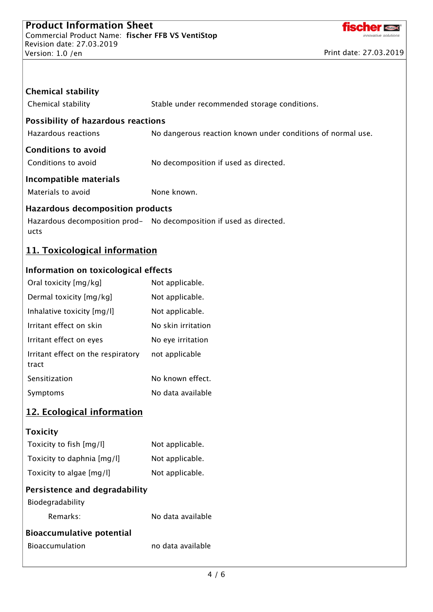

| <b>Chemical stability</b>                     |                                                                     |  |  |  |  |
|-----------------------------------------------|---------------------------------------------------------------------|--|--|--|--|
| Chemical stability                            | Stable under recommended storage conditions.                        |  |  |  |  |
| <b>Possibility of hazardous reactions</b>     |                                                                     |  |  |  |  |
| <b>Hazardous reactions</b>                    | No dangerous reaction known under conditions of normal use.         |  |  |  |  |
| <b>Conditions to avoid</b>                    |                                                                     |  |  |  |  |
| Conditions to avoid                           | No decomposition if used as directed.                               |  |  |  |  |
| Incompatible materials                        |                                                                     |  |  |  |  |
| Materials to avoid                            | None known.                                                         |  |  |  |  |
| <b>Hazardous decomposition products</b>       |                                                                     |  |  |  |  |
| ucts                                          | Hazardous decomposition prod- No decomposition if used as directed. |  |  |  |  |
| 11. Toxicological information                 |                                                                     |  |  |  |  |
| Information on toxicological effects          |                                                                     |  |  |  |  |
| Oral toxicity [mg/kg]                         | Not applicable.                                                     |  |  |  |  |
| Dermal toxicity [mg/kg]                       | Not applicable.                                                     |  |  |  |  |
| Inhalative toxicity [mg/l]                    | Not applicable.                                                     |  |  |  |  |
| Irritant effect on skin                       | No skin irritation                                                  |  |  |  |  |
| Irritant effect on eyes                       | No eye irritation                                                   |  |  |  |  |
| Irritant effect on the respiratory<br>tract   | not applicable                                                      |  |  |  |  |
| Sensitization                                 | No known effect.                                                    |  |  |  |  |
| Symptoms                                      | No data available                                                   |  |  |  |  |
| 12. Ecological information<br><b>Toxicity</b> |                                                                     |  |  |  |  |

| Toxicity to fish [mg/l]          | Not applicable.   |
|----------------------------------|-------------------|
| Toxicity to daphnia [mg/l]       | Not applicable.   |
| Toxicity to algae [mg/l]         | Not applicable.   |
| Persistence and degradability    |                   |
| Biodegradability                 |                   |
| Remarks:                         | No data available |
| <b>Bioaccumulative potential</b> |                   |
| <b>Bioaccumulation</b>           | no data available |
|                                  |                   |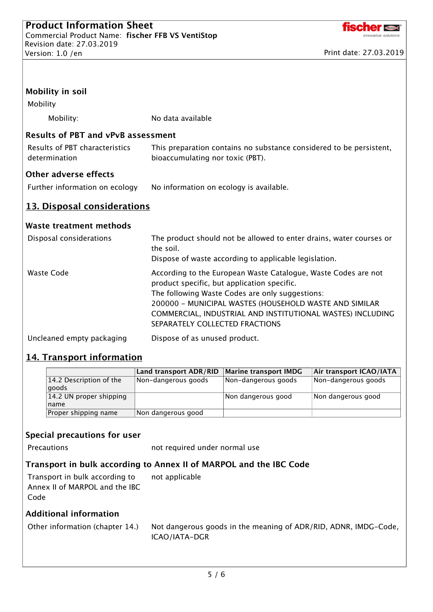

| Mobility                                        | <b>Mobility in soil</b>                                          |                                                                    |                                                                                                                                                                                                                                                                                                                            |                         |  |
|-------------------------------------------------|------------------------------------------------------------------|--------------------------------------------------------------------|----------------------------------------------------------------------------------------------------------------------------------------------------------------------------------------------------------------------------------------------------------------------------------------------------------------------------|-------------------------|--|
|                                                 | Mobility:                                                        | No data available                                                  |                                                                                                                                                                                                                                                                                                                            |                         |  |
|                                                 | <b>Results of PBT and vPvB assessment</b>                        |                                                                    |                                                                                                                                                                                                                                                                                                                            |                         |  |
| Results of PBT characteristics<br>determination |                                                                  |                                                                    | This preparation contains no substance considered to be persistent,<br>bioaccumulating nor toxic (PBT).                                                                                                                                                                                                                    |                         |  |
|                                                 | <b>Other adverse effects</b>                                     |                                                                    |                                                                                                                                                                                                                                                                                                                            |                         |  |
|                                                 | Further information on ecology                                   |                                                                    | No information on ecology is available.                                                                                                                                                                                                                                                                                    |                         |  |
|                                                 | 13. Disposal considerations                                      |                                                                    |                                                                                                                                                                                                                                                                                                                            |                         |  |
|                                                 | <b>Waste treatment methods</b>                                   |                                                                    |                                                                                                                                                                                                                                                                                                                            |                         |  |
| Disposal considerations                         |                                                                  | the soil.                                                          | The product should not be allowed to enter drains, water courses or<br>Dispose of waste according to applicable legislation.                                                                                                                                                                                               |                         |  |
| <b>Waste Code</b>                               |                                                                  |                                                                    | According to the European Waste Catalogue, Waste Codes are not<br>product specific, but application specific.<br>The following Waste Codes are only suggestions:<br>200000 - MUNICIPAL WASTES (HOUSEHOLD WASTE AND SIMILAR<br>COMMERCIAL, INDUSTRIAL AND INSTITUTIONAL WASTES) INCLUDING<br>SEPARATELY COLLECTED FRACTIONS |                         |  |
|                                                 | Uncleaned empty packaging                                        | Dispose of as unused product.                                      |                                                                                                                                                                                                                                                                                                                            |                         |  |
|                                                 | <b>14. Transport information</b>                                 |                                                                    |                                                                                                                                                                                                                                                                                                                            |                         |  |
|                                                 |                                                                  | Land transport ADR/RID                                             | <b>Marine transport IMDG</b>                                                                                                                                                                                                                                                                                               | Air transport ICAO/IATA |  |
|                                                 | 14.2 Description of the<br>goods                                 | Non-dangerous goods                                                | Non-dangerous goods                                                                                                                                                                                                                                                                                                        | Non-dangerous goods     |  |
|                                                 | 14.2 UN proper shipping<br>name                                  |                                                                    | Non dangerous good                                                                                                                                                                                                                                                                                                         | Non dangerous good      |  |
|                                                 | Proper shipping name                                             | Non dangerous good                                                 |                                                                                                                                                                                                                                                                                                                            |                         |  |
|                                                 | Special precautions for user<br>Precautions                      | not required under normal use                                      |                                                                                                                                                                                                                                                                                                                            |                         |  |
|                                                 |                                                                  | Transport in bulk according to Annex II of MARPOL and the IBC Code |                                                                                                                                                                                                                                                                                                                            |                         |  |
| Code                                            | Transport in bulk according to<br>Annex II of MARPOL and the IBC | not applicable                                                     |                                                                                                                                                                                                                                                                                                                            |                         |  |
|                                                 | <b>Additional information</b>                                    |                                                                    |                                                                                                                                                                                                                                                                                                                            |                         |  |
| Other information (chapter 14.)                 |                                                                  | ICAO/IATA-DGR                                                      | Not dangerous goods in the meaning of ADR/RID, ADNR, IMDG-Code,                                                                                                                                                                                                                                                            |                         |  |